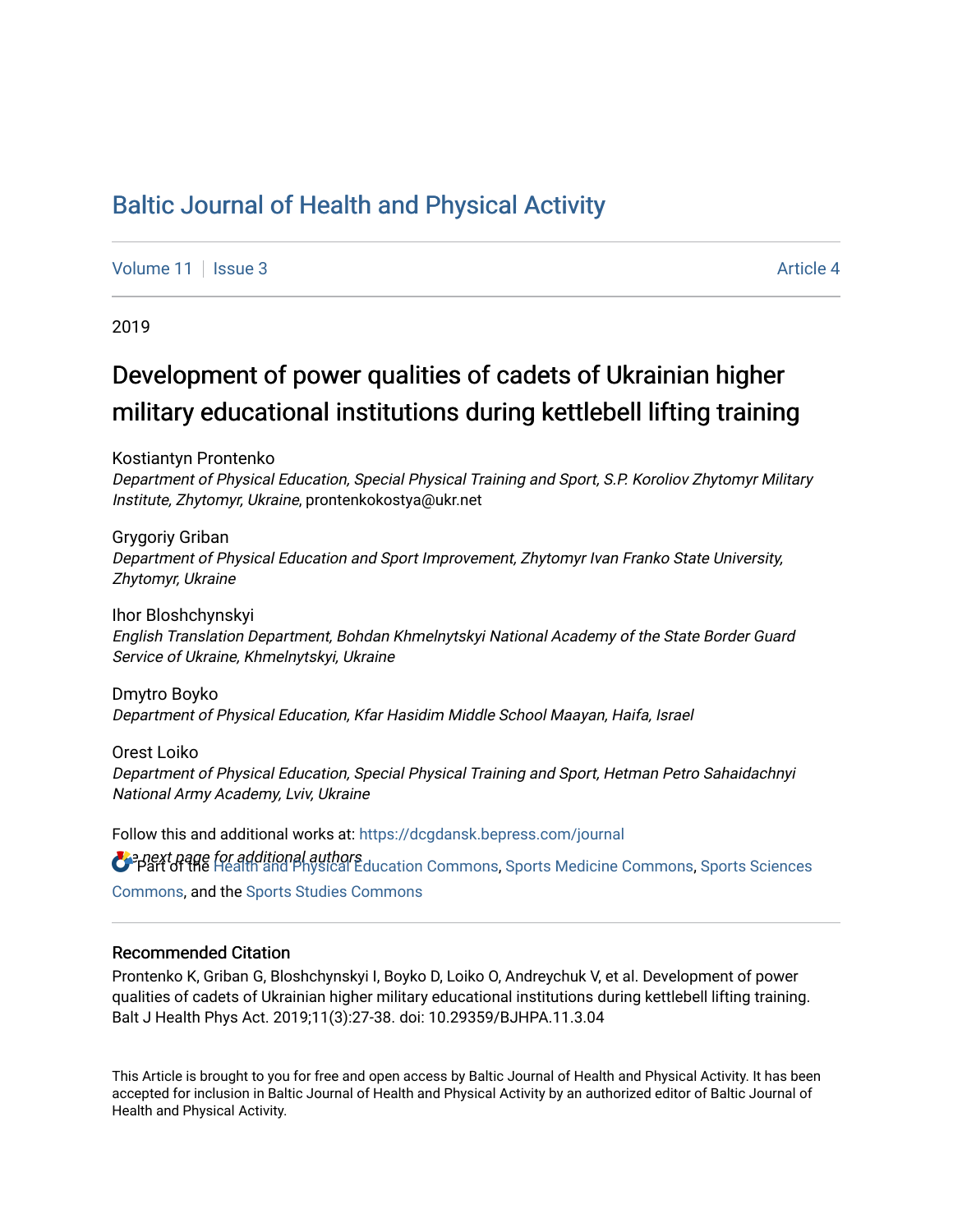# [Baltic Journal of Health and Physical Activity](https://dcgdansk.bepress.com/journal)

[Volume 11](https://dcgdansk.bepress.com/journal/vol11) | [Issue 3](https://dcgdansk.bepress.com/journal/vol11/iss3) Article 4

2019

# Development of power qualities of cadets of Ukrainian higher military educational institutions during kettlebell lifting training

Kostiantyn Prontenko

Department of Physical Education, Special Physical Training and Sport, S.P. Koroliov Zhytomyr Military Institute, Zhytomyr, Ukraine, prontenkokostya@ukr.net

Grygoriy Griban Department of Physical Education and Sport Improvement, Zhytomyr Ivan Franko State University, Zhytomyr, Ukraine

Ihor Bloshchynskyi English Translation Department, Bohdan Khmelnytskyi National Academy of the State Border Guard Service of Ukraine, Khmelnytskyi, Ukraine

Dmytro Boyko Department of Physical Education, Kfar Hasidim Middle School Maayan, Haifa, Israel

Orest Loiko Department of Physical Education, Special Physical Training and Sport, Hetman Petro Sahaidachnyi National Army Academy, Lviv, Ukraine

**O** e next page for additional authors<br>O Part of the [Health and Physical Education Commons](http://network.bepress.com/hgg/discipline/1327?utm_source=dcgdansk.bepress.com%2Fjournal%2Fvol11%2Fiss3%2F4&utm_medium=PDF&utm_campaign=PDFCoverPages), [Sports Medicine Commons,](http://network.bepress.com/hgg/discipline/1331?utm_source=dcgdansk.bepress.com%2Fjournal%2Fvol11%2Fiss3%2F4&utm_medium=PDF&utm_campaign=PDFCoverPages) [Sports Sciences](http://network.bepress.com/hgg/discipline/759?utm_source=dcgdansk.bepress.com%2Fjournal%2Fvol11%2Fiss3%2F4&utm_medium=PDF&utm_campaign=PDFCoverPages) Follow this and additional works at: [https://dcgdansk.bepress.com/journal](https://dcgdansk.bepress.com/journal?utm_source=dcgdansk.bepress.com%2Fjournal%2Fvol11%2Fiss3%2F4&utm_medium=PDF&utm_campaign=PDFCoverPages) [Commons](http://network.bepress.com/hgg/discipline/759?utm_source=dcgdansk.bepress.com%2Fjournal%2Fvol11%2Fiss3%2F4&utm_medium=PDF&utm_campaign=PDFCoverPages), and the [Sports Studies Commons](http://network.bepress.com/hgg/discipline/1198?utm_source=dcgdansk.bepress.com%2Fjournal%2Fvol11%2Fiss3%2F4&utm_medium=PDF&utm_campaign=PDFCoverPages) 

#### Recommended Citation

Prontenko K, Griban G, Bloshchynskyi I, Boyko D, Loiko O, Andreychuk V, et al. Development of power qualities of cadets of Ukrainian higher military educational institutions during kettlebell lifting training. Balt J Health Phys Act. 2019;11(3):27-38. doi: 10.29359/BJHPA.11.3.04

This Article is brought to you for free and open access by Baltic Journal of Health and Physical Activity. It has been accepted for inclusion in Baltic Journal of Health and Physical Activity by an authorized editor of Baltic Journal of Health and Physical Activity.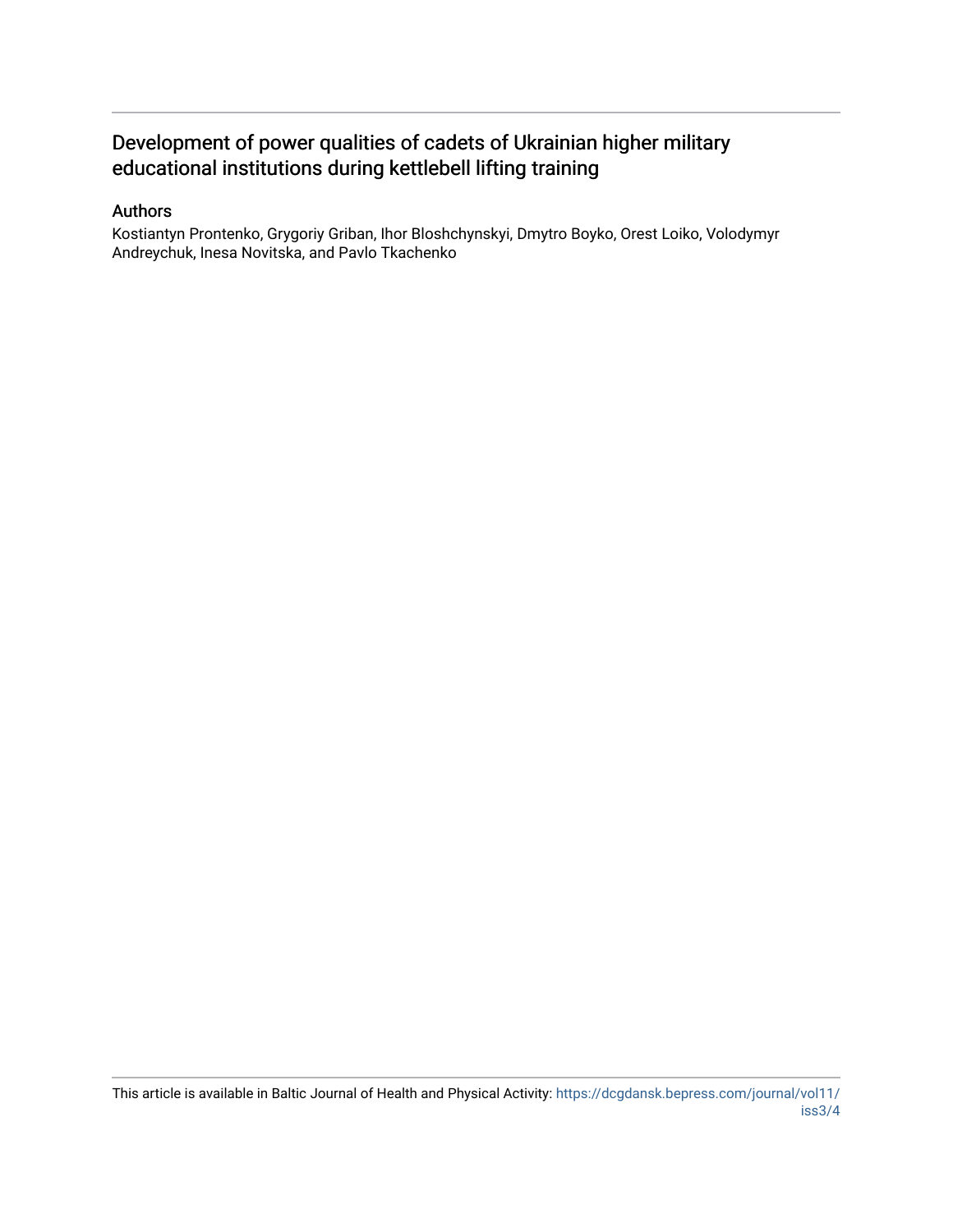# Development of power qualities of cadets of Ukrainian higher military educational institutions during kettlebell lifting training

#### Authors

Kostiantyn Prontenko, Grygoriy Griban, Ihor Bloshchynskyi, Dmytro Boyko, Orest Loiko, Volodymyr Andreychuk, Inesa Novitska, and Pavlo Tkachenko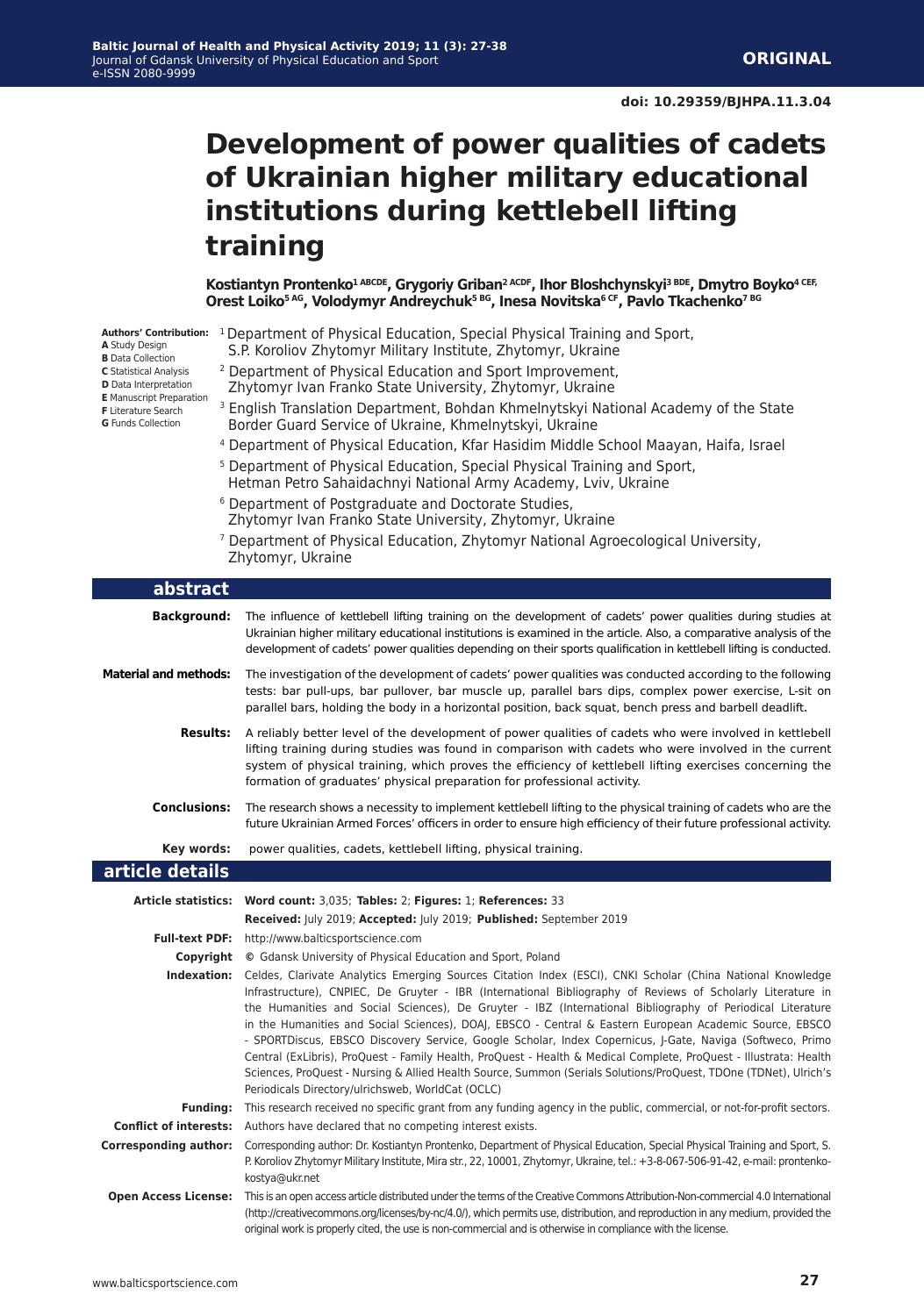# **Development of power qualities of cadets of Ukrainian higher military educational institutions during kettlebell lifting training**

Kostiantyn Prontenko<sup>1 ABCDE</sup>, Grygoriy Griban<sup>2 ACDF</sup>, Ihor Bloshchynskyi<sup>3 BDE</sup>, Dmytro Boyko<sup>4 CEF,</sup> **Orest Loiko5 AG, Volodymyr Andreychuk5 BG, Inesa Novitska6 CF, Pavlo Tkachenko7 BG**

- **A** Study Design
- **B** Data Collection
- **C** Statistical Analysis **D** Data Interpretation
- **E** Manuscript Preparation
- **F** Literature Search
- **G** Funds Collection

L

L

- Authors' Contribution: <sup>1</sup> Department of Physical Education, Special Physical Training and Sport, S.P. Koroliov Zhytomyr Military Institute, Zhytomyr, Ukraine
	- 2 Department of Physical Education and Sport Improvement,
	- Zhytomyr Ivan Franko State University, Zhytomyr, Ukraine
	- <sup>3</sup> English Translation Department, Bohdan Khmelnytskyi National Academy of the State Border Guard Service of Ukraine, Khmelnytskyi, Ukraine
	- 4 Department of Physical Education, Kfar Hasidim Middle School Maayan, Haifa, Israel
	- 5 Department of Physical Education, Special Physical Training and Sport, Hetman Petro Sahaidachnyi National Army Academy, Lviv, Ukraine
	- 6 Department of Postgraduate and Doctorate Studies, Zhytomyr Ivan Franko State University, Zhytomyr, Ukraine
	- 7 Department of Physical Education, Zhytomyr National Agroecological University, Zhytomyr, Ukraine

| abstract                     |                                                                                                                                                                                                                                                                                                                                                                                                                                                                                                                                                                                                                                                                                                                                                                                                                                                                           |
|------------------------------|---------------------------------------------------------------------------------------------------------------------------------------------------------------------------------------------------------------------------------------------------------------------------------------------------------------------------------------------------------------------------------------------------------------------------------------------------------------------------------------------------------------------------------------------------------------------------------------------------------------------------------------------------------------------------------------------------------------------------------------------------------------------------------------------------------------------------------------------------------------------------|
| <b>Background:</b>           | The influence of kettlebell lifting training on the development of cadets' power qualities during studies at<br>Ukrainian higher military educational institutions is examined in the article. Also, a comparative analysis of the<br>development of cadets' power qualities depending on their sports qualification in kettlebell lifting is conducted.                                                                                                                                                                                                                                                                                                                                                                                                                                                                                                                  |
| <b>Material and methods:</b> | The investigation of the development of cadets' power qualities was conducted according to the following<br>tests: bar pull-ups, bar pullover, bar muscle up, parallel bars dips, complex power exercise, L-sit on<br>parallel bars, holding the body in a horizontal position, back squat, bench press and barbell deadlift.                                                                                                                                                                                                                                                                                                                                                                                                                                                                                                                                             |
| <b>Results:</b>              | A reliably better level of the development of power qualities of cadets who were involved in kettlebell<br>lifting training during studies was found in comparison with cadets who were involved in the current<br>system of physical training, which proves the efficiency of kettlebell lifting exercises concerning the<br>formation of graduates' physical preparation for professional activity.                                                                                                                                                                                                                                                                                                                                                                                                                                                                     |
| <b>Conclusions:</b>          | The research shows a necessity to implement kettlebell lifting to the physical training of cadets who are the<br>future Ukrainian Armed Forces' officers in order to ensure high efficiency of their future professional activity.                                                                                                                                                                                                                                                                                                                                                                                                                                                                                                                                                                                                                                        |
| Key words:                   | power qualities, cadets, kettlebell lifting, physical training.                                                                                                                                                                                                                                                                                                                                                                                                                                                                                                                                                                                                                                                                                                                                                                                                           |
| article details              |                                                                                                                                                                                                                                                                                                                                                                                                                                                                                                                                                                                                                                                                                                                                                                                                                                                                           |
|                              | Article statistics: Word count: 3,035; Tables: 2; Figures: 1; References: 33                                                                                                                                                                                                                                                                                                                                                                                                                                                                                                                                                                                                                                                                                                                                                                                              |
|                              | Received: July 2019; Accepted: July 2019; Published: September 2019                                                                                                                                                                                                                                                                                                                                                                                                                                                                                                                                                                                                                                                                                                                                                                                                       |
|                              | Full-text PDF: http://www.balticsportscience.com                                                                                                                                                                                                                                                                                                                                                                                                                                                                                                                                                                                                                                                                                                                                                                                                                          |
|                              | <b>Copyright</b> © Gdansk University of Physical Education and Sport, Poland                                                                                                                                                                                                                                                                                                                                                                                                                                                                                                                                                                                                                                                                                                                                                                                              |
|                              | Indexation: Celdes, Clarivate Analytics Emerging Sources Citation Index (ESCI), CNKI Scholar (China National Knowledge<br>Infrastructure), CNPIEC, De Gruyter - IBR (International Bibliography of Reviews of Scholarly Literature in<br>the Humanities and Social Sciences), De Gruyter - IBZ (International Bibliography of Periodical Literature<br>in the Humanities and Social Sciences), DOAJ, EBSCO - Central & Eastern European Academic Source, EBSCO<br>- SPORTDiscus, EBSCO Discovery Service, Google Scholar, Index Copernicus, J-Gate, Naviga (Softweco, Primo<br>Central (ExLibris), ProQuest - Family Health, ProQuest - Health & Medical Complete, ProQuest - Illustrata: Health<br>Sciences, ProQuest - Nursing & Allied Health Source, Summon (Serials Solutions/ProQuest, TDOne (TDNet), Ulrich's<br>Periodicals Directory/ulrichsweb, WorldCat (OCLC) |
| <b>Funding:</b>              | This research received no specific grant from any funding agency in the public, commercial, or not-for-profit sectors.                                                                                                                                                                                                                                                                                                                                                                                                                                                                                                                                                                                                                                                                                                                                                    |
|                              | <b>Conflict of interests:</b> Authors have declared that no competing interest exists.                                                                                                                                                                                                                                                                                                                                                                                                                                                                                                                                                                                                                                                                                                                                                                                    |
| <b>Corresponding author:</b> | Corresponding author: Dr. Kostiantyn Prontenko, Department of Physical Education, Special Physical Training and Sport, S.<br>P. Koroliov Zhytomyr Military Institute, Mira str., 22, 10001, Zhytomyr, Ukraine, tel.: +3-8-067-506-91-42, e-mail: prontenko-<br>kostya@ukr.net                                                                                                                                                                                                                                                                                                                                                                                                                                                                                                                                                                                             |
| <b>Open Access License:</b>  | This is an open access article distributed under the terms of the Creative Commons Attribution-Non-commercial 4.0 International<br>(http://creativecommons.org/licenses/by-nc/4.0/), which permits use, distribution, and reproduction in any medium, provided the<br>original work is properly cited, the use is non-commercial and is otherwise in compliance with the license.                                                                                                                                                                                                                                                                                                                                                                                                                                                                                         |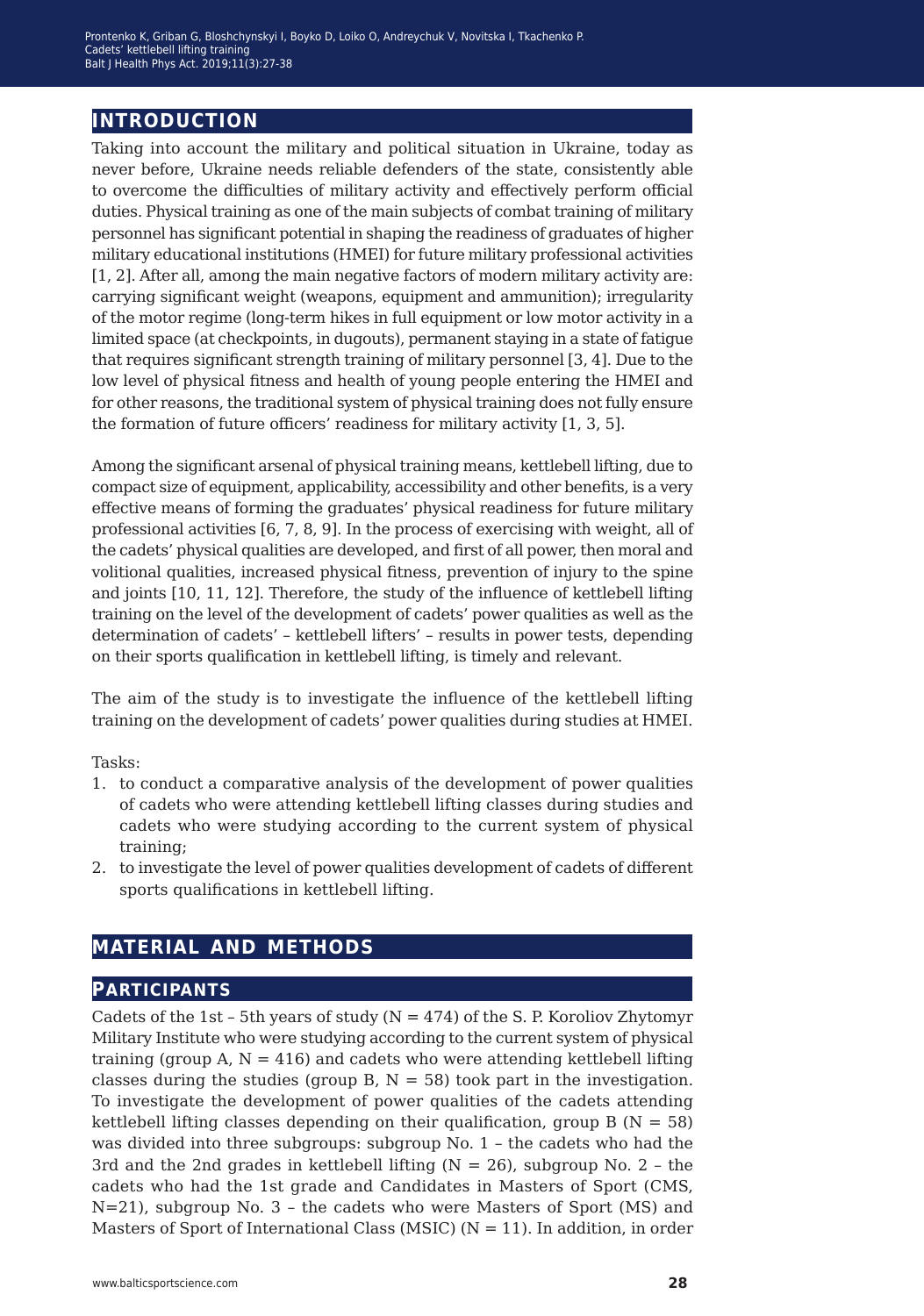# **introduction**

Taking into account the military and political situation in Ukraine, today as never before, Ukraine needs reliable defenders of the state, consistently able to overcome the difficulties of military activity and effectively perform official duties. Physical training as one of the main subjects of combat training of military personnel has significant potential in shaping the readiness of graduates of higher military educational institutions (HMEI) for future military professional activities [1, 2]. After all, among the main negative factors of modern military activity are: carrying significant weight (weapons, equipment and ammunition); irregularity of the motor regime (long-term hikes in full equipment or low motor activity in a limited space (at checkpoints, in dugouts), permanent staying in a state of fatigue that requires significant strength training of military personnel [3, 4]. Due to the low level of physical fitness and health of young people entering the HMEI and for other reasons, the traditional system of physical training does not fully ensure the formation of future officers' readiness for military activity [1, 3, 5].

Among the significant arsenal of physical training means, kettlebell lifting, due to compact size of equipment, applicability, accessibility and other benefits, is a very effective means of forming the graduates' physical readiness for future military professional activities [6, 7, 8, 9]. In the process of exercising with weight, all of the cadets' physical qualities are developed, and first of all power, then moral and volitional qualities, increased physical fitness, prevention of injury to the spine and joints [10, 11, 12]. Therefore, the study of the influence of kettlebell lifting training on the level of the development of cadets' power qualities as well as the determination of cadets' – kettlebell lifters' – results in power tests, depending on their sports qualification in kettlebell lifting, is timely and relevant.

The aim of the study is to investigate the influence of the kettlebell lifting training on the development of cadets' power qualities during studies at HMEI.

Tasks:

- 1. to conduct a comparative analysis of the development of power qualities of cadets who were attending kettlebell lifting classes during studies and cadets who were studying according to the current system of physical training;
- 2. to investigate the level of power qualities development of cadets of different sports qualifications in kettlebell lifting.

# **material and methods**

### **participants**

Cadets of the 1st - 5th years of study  $(N = 474)$  of the S. P. Koroliov Zhytomyr Military Institute who were studying according to the current system of physical training (group A,  $N = 416$ ) and cadets who were attending kettlebell lifting classes during the studies (group B,  $N = 58$ ) took part in the investigation. To investigate the development of power qualities of the cadets attending kettlebell lifting classes depending on their qualification, group  $B (N = 58)$ was divided into three subgroups: subgroup No. 1 – the cadets who had the 3rd and the 2nd grades in kettlebell lifting  $(N = 26)$ , subgroup No. 2 - the cadets who had the 1st grade and Candidates in Masters of Sport (CMS, N=21), subgroup No. 3 – the cadets who were Masters of Sport (MS) and Masters of Sport of International Class (MSIC) ( $N = 11$ ). In addition, in order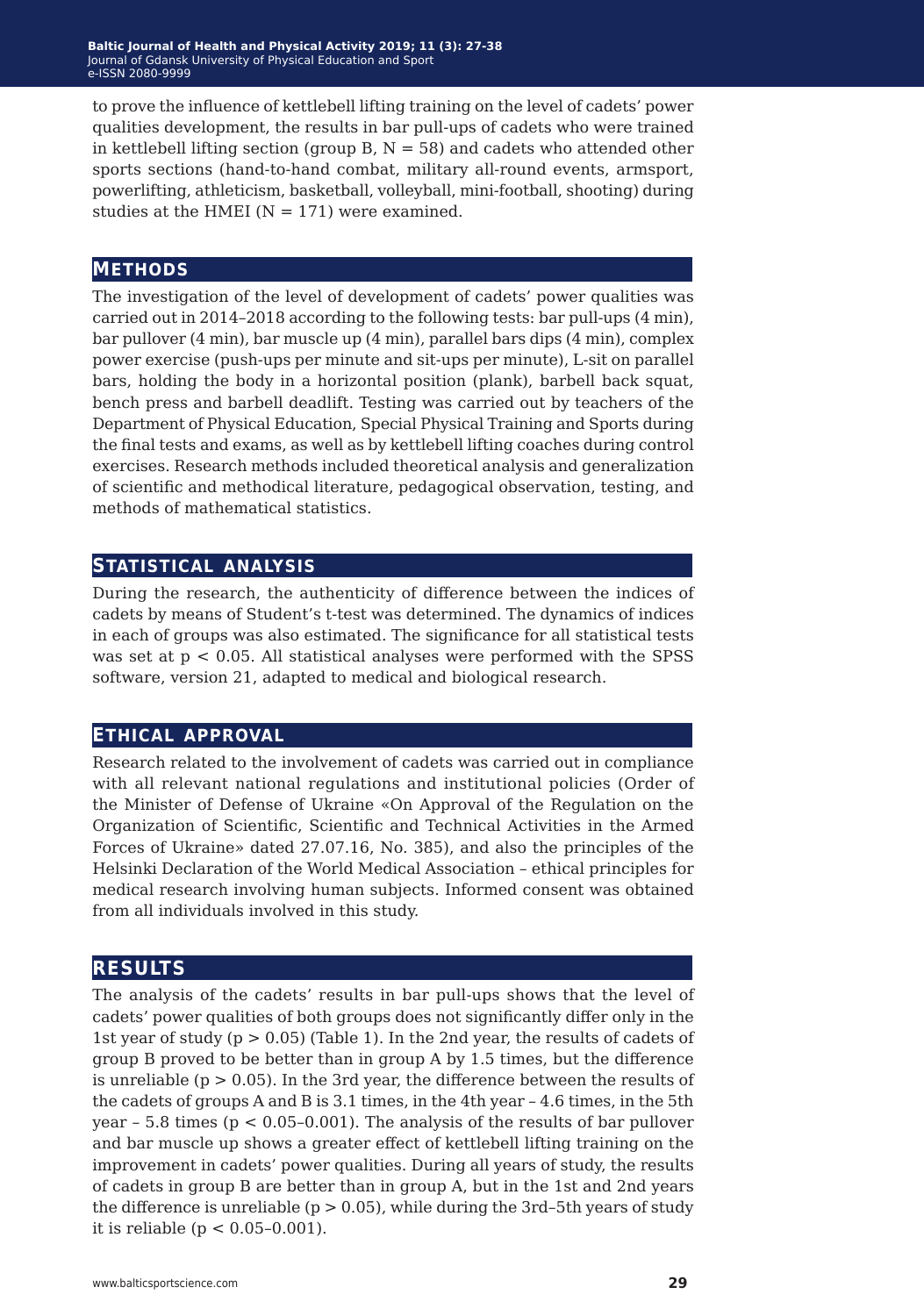to prove the influence of kettlebell lifting training on the level of cadets' power qualities development, the results in bar pull-ups of cadets who were trained in kettlebell lifting section (group B,  $N = 58$ ) and cadets who attended other sports sections (hand-to-hand combat, military all-round events, armsport, powerlifting, athleticism, basketball, volleyball, mini-football, shooting) during studies at the HMEI ( $N = 171$ ) were examined.

### **methods**

The investigation of the level of development of cadets' power qualities was carried out in 2014–2018 according to the following tests: bar pull-ups (4 min), bar pullover (4 min), bar muscle up (4 min), parallel bars dips (4 min), complex power exercise (push-ups per minute and sit-ups per minute), L-sit on parallel bars, holding the body in a horizontal position (plank), barbell back squat, bench press and barbell deadlift. Testing was carried out by teachers of the Department of Physical Education, Special Physical Training and Sports during the final tests and exams, as well as by kettlebell lifting coaches during control exercises. Research methods included theoretical analysis and generalization of scientific and methodical literature, pedagogical observation, testing, and methods of mathematical statistics.

#### **statistical analysis**

During the research, the authenticity of difference between the indices of cadets by means of Student's t-test was determined. The dynamics of indices in each of groups was also estimated. The significance for all statistical tests was set at  $p < 0.05$ . All statistical analyses were performed with the SPSS software, version 21, adapted to medical and biological research.

#### **ethical approval**

Research related to the involvement of cadets was carried out in compliance with all relevant national regulations and institutional policies (Order of the Minister of Defense of Ukraine «On Approval of the Regulation on the Organization of Scientific, Scientific and Technical Activities in the Armed Forces of Ukraine» dated 27.07.16, No. 385), and also the principles of the Helsinki Declaration of the World Medical Association – ethical principles for medical research involving human subjects. Informed consent was obtained from all individuals involved in this study.

#### **results**

The analysis of the cadets' results in bar pull-ups shows that the level of cadets' power qualities of both groups does not significantly differ only in the 1st year of study (p > 0.05) (Table 1). In the 2nd year, the results of cadets of group B proved to be better than in group A by 1.5 times, but the difference is unreliable ( $p > 0.05$ ). In the 3rd year, the difference between the results of the cadets of groups A and B is 3.1 times, in the 4th year – 4.6 times, in the 5th year  $-5.8$  times ( $p < 0.05$ -0.001). The analysis of the results of bar pullover and bar muscle up shows a greater effect of kettlebell lifting training on the improvement in cadets' power qualities. During all years of study, the results of cadets in group B are better than in group A, but in the 1st and 2nd years the difference is unreliable ( $p > 0.05$ ), while during the 3rd–5th years of study it is reliable ( $p < 0.05 - 0.001$ ).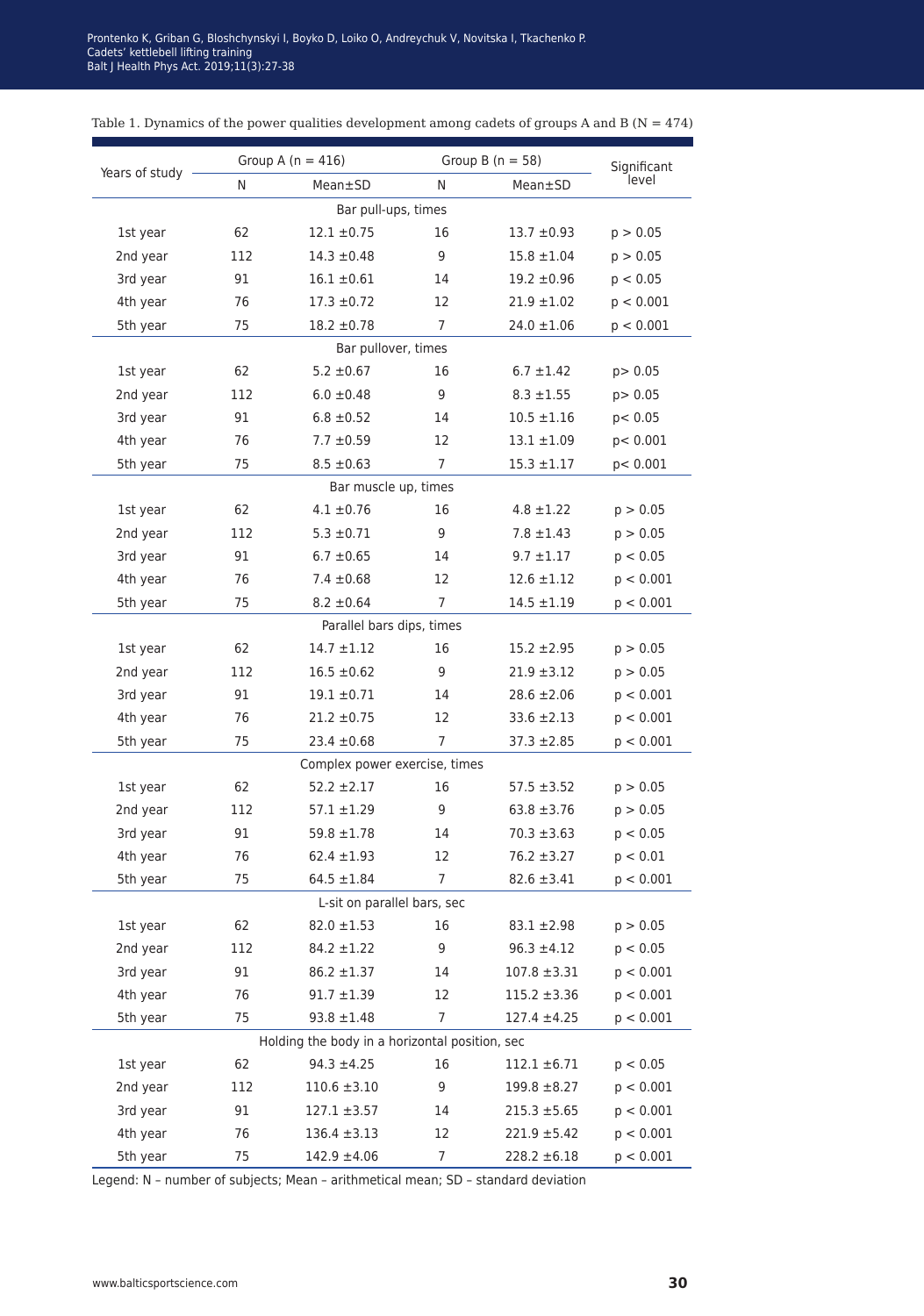| Years of study              | Group A ( $n = 416$ ) |                                                | Group B $(n = 58)$ | Significant      |           |  |  |  |  |  |
|-----------------------------|-----------------------|------------------------------------------------|--------------------|------------------|-----------|--|--|--|--|--|
|                             | N                     | Mean±SD                                        | N                  | Mean±SD          | level     |  |  |  |  |  |
| Bar pull-ups, times         |                       |                                                |                    |                  |           |  |  |  |  |  |
| 1st year                    | 62                    | $12.1 \pm 0.75$                                | 16                 | $13.7 \pm 0.93$  | p > 0.05  |  |  |  |  |  |
| 2nd year                    | 112                   | $14.3 \pm 0.48$                                | 9                  | $15.8 \pm 1.04$  | p > 0.05  |  |  |  |  |  |
| 3rd year                    | 91                    | $16.1 \pm 0.61$                                | 14                 | $19.2 \pm 0.96$  | p < 0.05  |  |  |  |  |  |
| 4th year                    | 76                    | $17.3 \pm 0.72$                                | 12                 | $21.9 \pm 1.02$  | p < 0.001 |  |  |  |  |  |
| 5th year                    | 75                    | $18.2 \pm 0.78$                                | $\overline{7}$     | $24.0 \pm 1.06$  | p < 0.001 |  |  |  |  |  |
| Bar pullover, times         |                       |                                                |                    |                  |           |  |  |  |  |  |
| 1st year                    | 62                    | $5.2 \pm 0.67$                                 | 16                 | $6.7 \pm 1.42$   | p> 0.05   |  |  |  |  |  |
| 2nd year                    | 112                   | $6.0 \pm 0.48$                                 | 9                  | $8.3 \pm 1.55$   | p > 0.05  |  |  |  |  |  |
| 3rd year                    | 91                    | $6.8 \pm 0.52$                                 | 14                 | $10.5 \pm 1.16$  | p < 0.05  |  |  |  |  |  |
| 4th year                    | 76                    | $7.7 \pm 0.59$                                 | 12                 | $13.1 \pm 1.09$  | p < 0.001 |  |  |  |  |  |
| 5th year                    | 75                    | $8.5 \pm 0.63$                                 | $\overline{7}$     | $15.3 \pm 1.17$  | p < 0.001 |  |  |  |  |  |
| Bar muscle up, times        |                       |                                                |                    |                  |           |  |  |  |  |  |
| 1st year                    | 62                    | $4.1 \pm 0.76$                                 | 16                 | $4.8 \pm 1.22$   | p > 0.05  |  |  |  |  |  |
| 2nd year                    | 112                   | $5.3 \pm 0.71$                                 | 9                  | $7.8 \pm 1.43$   | p > 0.05  |  |  |  |  |  |
| 3rd year                    | 91                    | $6.7 \pm 0.65$                                 | 14                 | $9.7 \pm 1.17$   | p < 0.05  |  |  |  |  |  |
| 4th year                    | 76                    | $7.4 \pm 0.68$                                 | 12                 | $12.6 \pm 1.12$  | p < 0.001 |  |  |  |  |  |
| 5th year                    | 75                    | $8.2 \pm 0.64$                                 | $\overline{7}$     | $14.5 \pm 1.19$  | p < 0.001 |  |  |  |  |  |
|                             |                       | Parallel bars dips, times                      |                    |                  |           |  |  |  |  |  |
| 1st year                    | 62                    | $14.7 \pm 1.12$                                | 16                 | $15.2 \pm 2.95$  | p > 0.05  |  |  |  |  |  |
| 2nd year                    | 112                   | $16.5 \pm 0.62$                                | 9                  | $21.9 \pm 3.12$  | p > 0.05  |  |  |  |  |  |
| 3rd year                    | 91                    | $19.1 \pm 0.71$                                | 14                 | $28.6 \pm 2.06$  | p < 0.001 |  |  |  |  |  |
| 4th year                    | 76                    | $21.2 \pm 0.75$                                | 12                 | $33.6 \pm 2.13$  | p < 0.001 |  |  |  |  |  |
| 5th year                    | 75                    | $23.4 \pm 0.68$                                | 7                  | $37.3 \pm 2.85$  | p < 0.001 |  |  |  |  |  |
|                             |                       | Complex power exercise, times                  |                    |                  |           |  |  |  |  |  |
| 1st year                    | 62                    | $52.2 \pm 2.17$                                | 16                 | $57.5 \pm 3.52$  | p > 0.05  |  |  |  |  |  |
| 2nd year                    | 112                   | $57.1 \pm 1.29$                                | 9                  | $63.8 \pm 3.76$  | p > 0.05  |  |  |  |  |  |
| 3rd year                    | 91                    | $59.8 \pm 1.78$                                | 14                 | $70.3 \pm 3.63$  | p < 0.05  |  |  |  |  |  |
| 4th year                    | 76                    | $62.4 \pm 1.93$                                | 12                 | $76.2 \pm 3.27$  | p < 0.01  |  |  |  |  |  |
| 5th year                    | 75                    | $64.5 \pm 1.84$                                | 7                  | $82.6 \pm 3.41$  | p < 0.001 |  |  |  |  |  |
| L-sit on parallel bars, sec |                       |                                                |                    |                  |           |  |  |  |  |  |
| 1st year                    | 62                    | $82.0 \pm 1.53$                                | 16                 | $83.1 \pm 2.98$  | p > 0.05  |  |  |  |  |  |
| 2nd year                    | 112                   | $84.2 \pm 1.22$                                | 9                  | $96.3 \pm 4.12$  | p < 0.05  |  |  |  |  |  |
| 3rd year                    | 91                    | $86.2 \pm 1.37$                                | 14                 | $107.8 \pm 3.31$ | p < 0.001 |  |  |  |  |  |
| 4th year                    | 76                    | $91.7 \pm 1.39$                                | 12                 | $115.2 \pm 3.36$ | p < 0.001 |  |  |  |  |  |
| 5th year                    | 75                    | $93.8 \pm 1.48$                                | 7                  | $127.4 \pm 4.25$ | p < 0.001 |  |  |  |  |  |
|                             |                       | Holding the body in a horizontal position, sec |                    |                  |           |  |  |  |  |  |
| 1st year                    | 62                    | $94.3 \pm 4.25$                                | 16                 | $112.1 \pm 6.71$ | p < 0.05  |  |  |  |  |  |
| 2nd year                    | 112                   | $110.6 \pm 3.10$                               | 9                  | $199.8 \pm 8.27$ | p < 0.001 |  |  |  |  |  |
| 3rd year                    | 91                    | $127.1 \pm 3.57$                               | 14                 | $215.3 \pm 5.65$ | p < 0.001 |  |  |  |  |  |
| 4th year                    | 76                    | $136.4 \pm 3.13$                               | 12                 | $221.9 \pm 5.42$ | p < 0.001 |  |  |  |  |  |
| 5th year                    | 75                    | $142.9 \pm 4.06$                               | 7                  | $228.2 \pm 6.18$ | p < 0.001 |  |  |  |  |  |

#### Table 1. Dynamics of the power qualities development among cadets of groups A and B ( $N = 474$ )

Legend: N – number of subjects; Mean – arithmetical mean; SD – standard deviation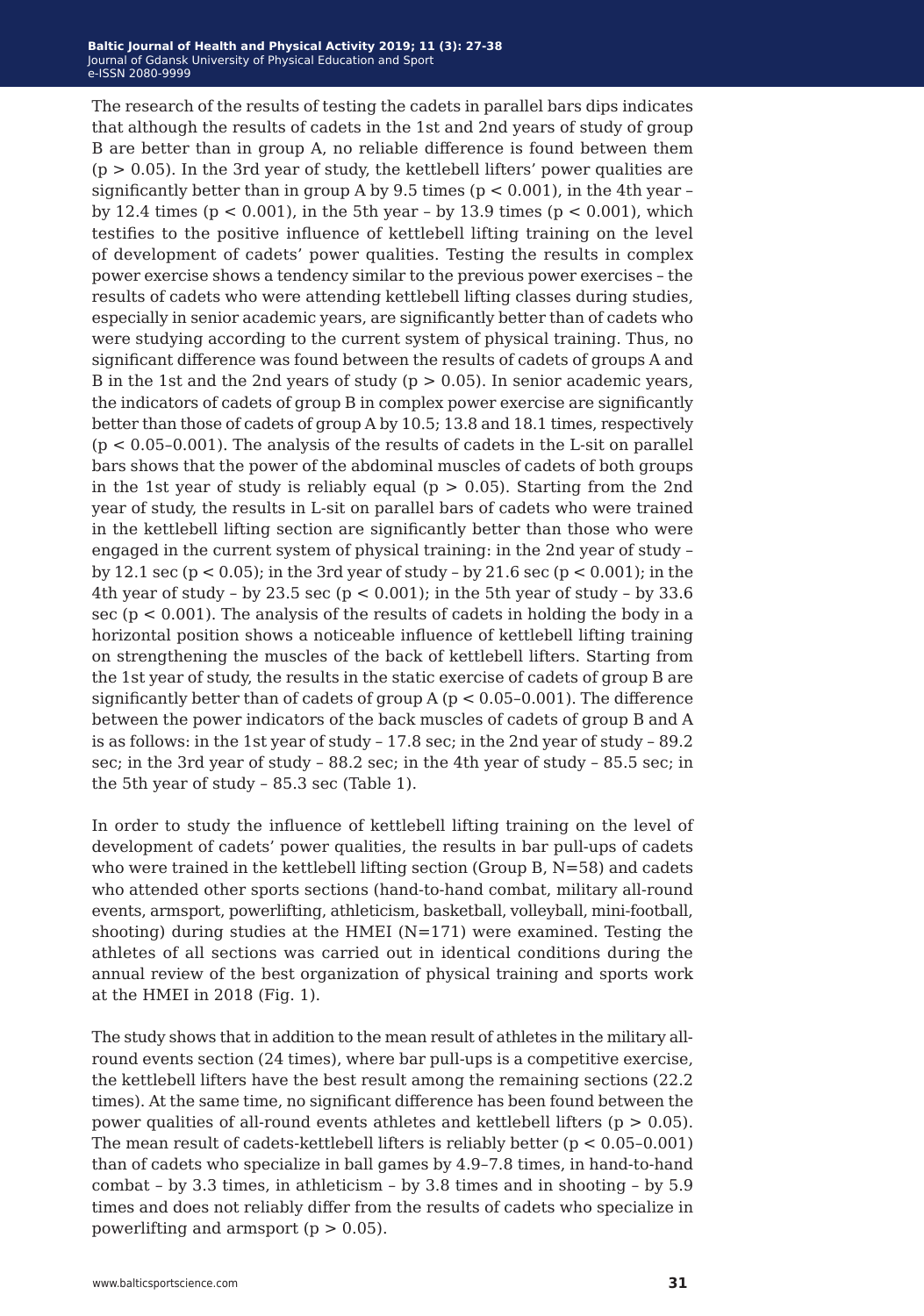The research of the results of testing the cadets in parallel bars dips indicates that although the results of cadets in the 1st and 2nd years of study of group B are better than in group A, no reliable difference is found between them  $(p > 0.05)$ . In the 3rd year of study, the kettlebell lifters' power qualities are significantly better than in group A by 9.5 times ( $p < 0.001$ ), in the 4th year – by 12.4 times ( $p < 0.001$ ), in the 5th year – by 13.9 times ( $p < 0.001$ ), which testifies to the positive influence of kettlebell lifting training on the level of development of cadets' power qualities. Testing the results in complex power exercise shows a tendency similar to the previous power exercises – the results of cadets who were attending kettlebell lifting classes during studies, especially in senior academic years, are significantly better than of cadets who were studying according to the current system of physical training. Thus, no significant difference was found between the results of cadets of groups A and B in the 1st and the 2nd years of study  $(p > 0.05)$ . In senior academic years, the indicators of cadets of group B in complex power exercise are significantly better than those of cadets of group A by 10.5; 13.8 and 18.1 times, respectively  $(p < 0.05 - 0.001)$ . The analysis of the results of cadets in the L-sit on parallel bars shows that the power of the abdominal muscles of cadets of both groups in the 1st year of study is reliably equal  $(p > 0.05)$ . Starting from the 2nd year of study, the results in L-sit on parallel bars of cadets who were trained in the kettlebell lifting section are significantly better than those who were engaged in the current system of physical training: in the 2nd year of study – by 12.1 sec (p < 0.05); in the 3rd year of study – by 21.6 sec (p < 0.001); in the 4th year of study - by 23.5 sec ( $p < 0.001$ ); in the 5th year of study - by 33.6 sec ( $p < 0.001$ ). The analysis of the results of cadets in holding the body in a horizontal position shows a noticeable influence of kettlebell lifting training on strengthening the muscles of the back of kettlebell lifters. Starting from the 1st year of study, the results in the static exercise of cadets of group B are significantly better than of cadets of group  $A$  ( $p < 0.05-0.001$ ). The difference between the power indicators of the back muscles of cadets of group B and A is as follows: in the 1st year of study – 17.8 sec; in the 2nd year of study – 89.2 sec; in the 3rd year of study – 88.2 sec; in the 4th year of study – 85.5 sec; in the 5th year of study – 85.3 sec (Table 1).

In order to study the influence of kettlebell lifting training on the level of development of cadets' power qualities, the results in bar pull-ups of cadets who were trained in the kettlebell lifting section (Group B,  $N=58$ ) and cadets who attended other sports sections (hand-to-hand combat, military all-round events, armsport, powerlifting, athleticism, basketball, volleyball, mini-football, shooting) during studies at the HMEI  $(N=171)$  were examined. Testing the athletes of all sections was carried out in identical conditions during the annual review of the best organization of physical training and sports work at the HMEI in 2018 (Fig. 1).

The study shows that in addition to the mean result of athletes in the military allround events section (24 times), where bar pull-ups is a competitive exercise, the kettlebell lifters have the best result among the remaining sections (22.2 times). At the same time, no significant difference has been found between the power qualities of all-round events athletes and kettlebell lifters ( $p > 0.05$ ). The mean result of cadets-kettlebell lifters is reliably better  $(p < 0.05 - 0.001)$ than of cadets who specialize in ball games by 4.9–7.8 times, in hand-to-hand combat – by 3.3 times, in athleticism – by 3.8 times and in shooting – by 5.9 times and does not reliably differ from the results of cadets who specialize in powerlifting and armsport ( $p > 0.05$ ).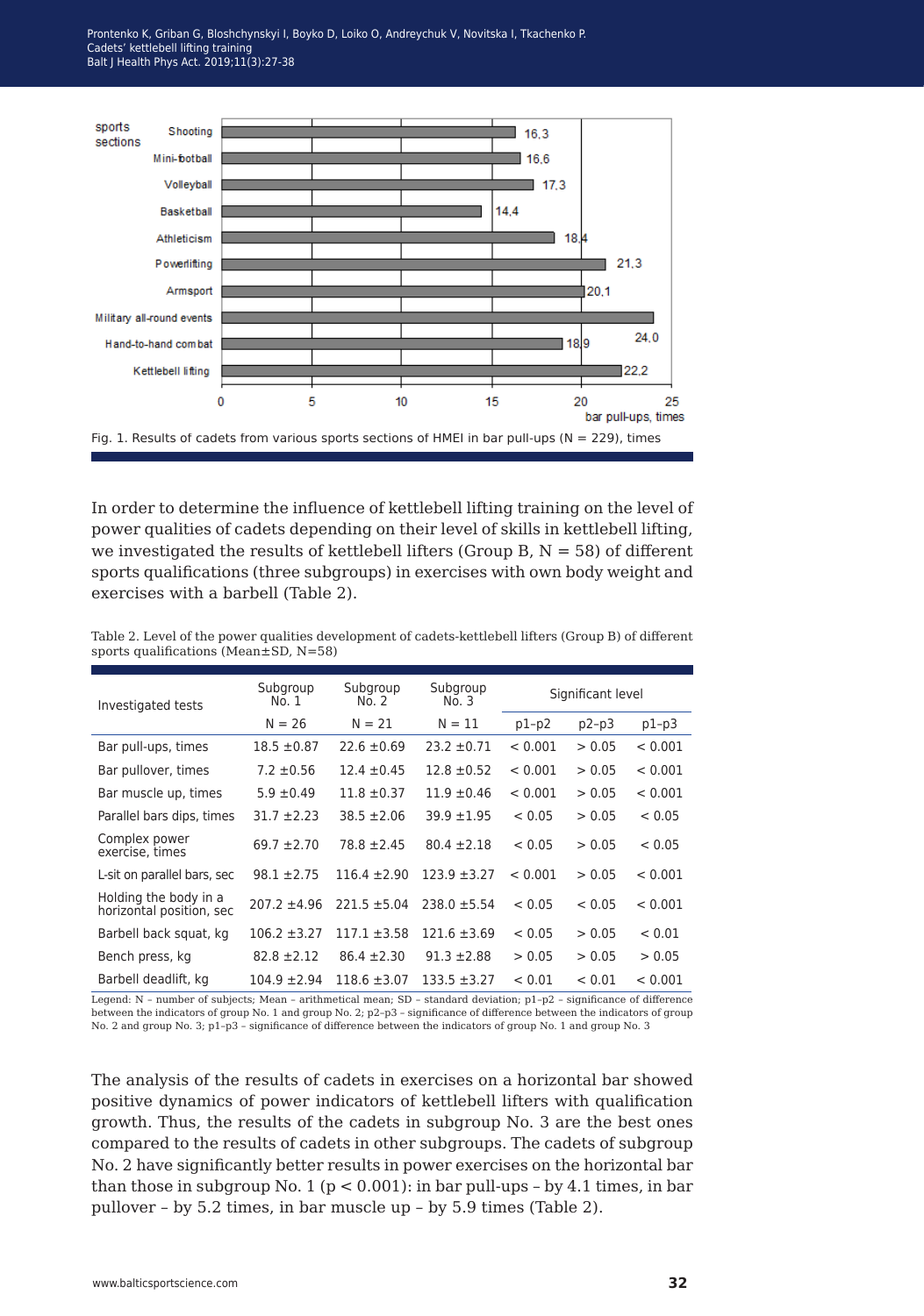Cadets' kettlebell lifting training Balt J Health Phys Act. 2019;11(3):27-38.  $\blacksquare$ Prontenko K, Griban G, Bloshchynskyi I, Boyko D, Loiko O, Andreychuk V, Novitska I, Tkachenko P.



In order to determine the influence of kettlebell lifting training on the level of power qualities of cadets depending on their level of skills in kettlebell lifting, we investigated the results of kettlebell lifters (Group B,  $N = 58$ ) of different sports qualifications (three subgroups) in exercises with own body weight and exercises with a barbell (Table 2).

Table 2. Level of the power qualities development of cadets-kettlebell lifters (Group B) of different sports qualifications (Mean±SD, N=58)

| Investigated tests                                | Subgroup<br>No. 1 | Subgroup<br>No. 2 | Subgroup<br>No. 3 | Significant level |         |         |
|---------------------------------------------------|-------------------|-------------------|-------------------|-------------------|---------|---------|
|                                                   | $N = 26$          | $N = 21$          | $N = 11$          | $p1-p2$           | $p2-p3$ | $p1-p3$ |
| Bar pull-ups, times                               | $18.5 \pm 0.87$   | $22.6 \pm 0.69$   | $23.2 \pm 0.71$   | < 0.001           | > 0.05  | < 0.001 |
| Bar pullover, times                               | $7.2 \pm 0.56$    | $12.4 \pm 0.45$   | $12.8 \pm 0.52$   | < 0.001           | > 0.05  | < 0.001 |
| Bar muscle up, times                              | $5.9 \pm 0.49$    | $11.8 \pm 0.37$   | $11.9 \pm 0.46$   | < 0.001           | > 0.05  | < 0.001 |
| Parallel bars dips, times                         | $31.7 + 2.23$     | $38.5 \pm 2.06$   | $39.9 + 1.95$     | < 0.05            | > 0.05  | < 0.05  |
| Complex power<br>exercise, times                  | $69.7 \pm 2.70$   | $78.8 \pm 2.45$   | $80.4 \pm 2.18$   | < 0.05            | > 0.05  | < 0.05  |
| L-sit on parallel bars, sec                       | $98.1 \pm 2.75$   | $116.4 \pm 2.90$  | $123.9 \pm 3.27$  | < 0.001           | > 0.05  | < 0.001 |
| Holding the body in a<br>horizontal position, sec | $207.2 \pm 4.96$  | $221.5 \pm 5.04$  | $238.0 \pm 5.54$  | < 0.05            | < 0.05  | < 0.001 |
| Barbell back squat, kg                            | $106.2 \pm 3.27$  | $117.1 \pm 3.58$  | $121.6 \pm 3.69$  | < 0.05            | > 0.05  | < 0.01  |
| Bench press, kg                                   | $82.8 \pm 2.12$   | $86.4 \pm 2.30$   | $91.3 \pm 2.88$   | > 0.05            | > 0.05  | > 0.05  |
| Barbell deadlift, kg                              | $104.9 \pm 2.94$  | $118.6 \pm 3.07$  | $133.5 \pm 3.27$  | < 0.01            | < 0.01  | < 0.001 |

Legend: N – number of subjects; Mean – arithmetical mean; SD – standard deviation; р1–р2 – significance of difference between the indicators of group No. 1 and group No. 2; р2–р3 – significance of difference between the indicators of group No. 2 and group No. 3; p1-p3 - significance of difference between the indicators of group No. 1 and group No. 3

The analysis of the results of cadets in exercises on a horizontal bar showed positive dynamics of power indicators of kettlebell lifters with qualification growth. Thus, the results of the cadets in subgroup No. 3 are the best ones compared to the results of cadets in other subgroups. The cadets of subgroup No. 2 have significantly better results in power exercises on the horizontal bar than those in subgroup No. 1 ( $p < 0.001$ ): in bar pull-ups - by 4.1 times, in bar pullover – by 5.2 times, in bar muscle up – by 5.9 times (Table 2).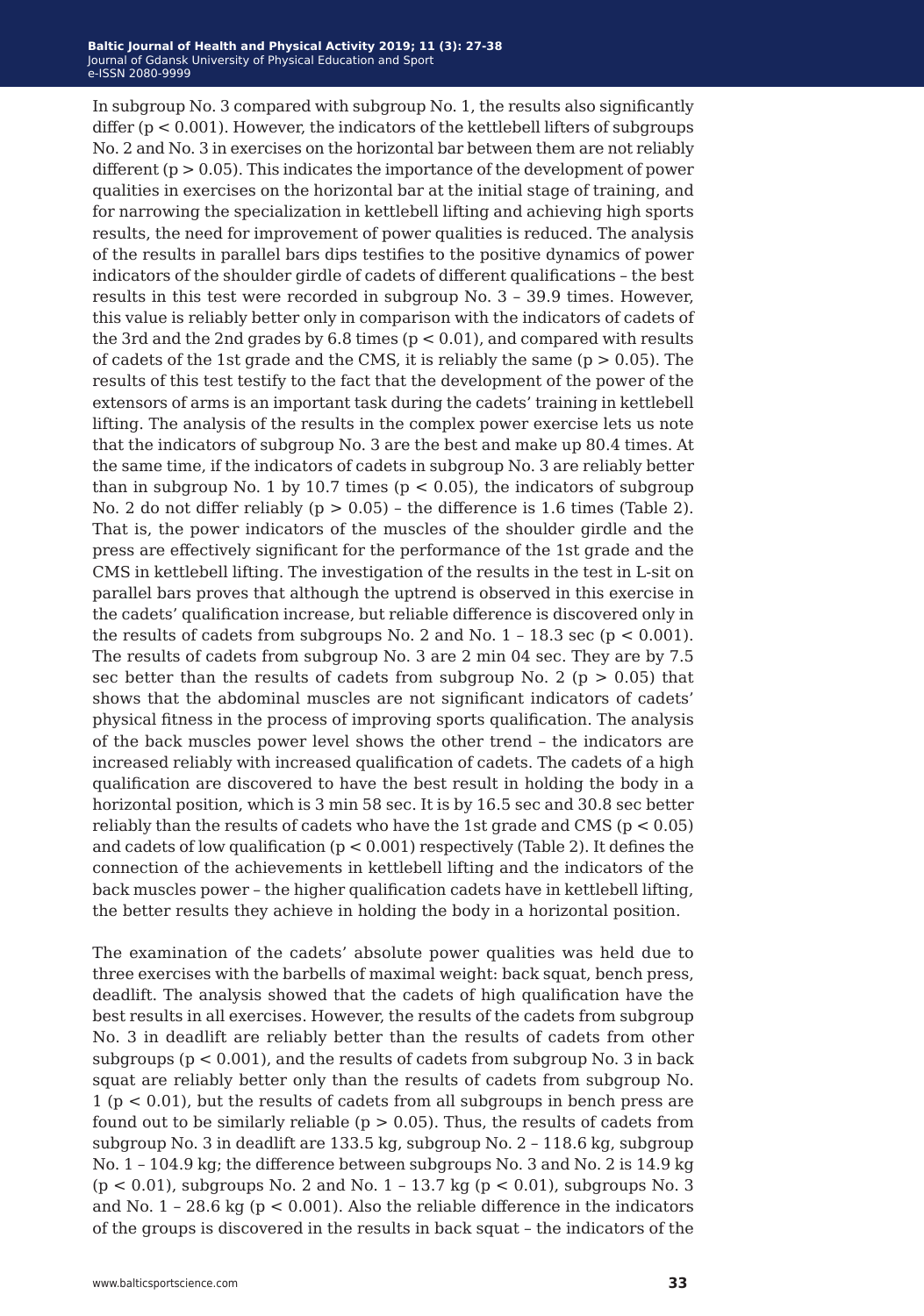In subgroup No. 3 compared with subgroup No. 1, the results also significantly differ ( $p < 0.001$ ). However, the indicators of the kettlebell lifters of subgroups No. 2 and No. 3 in exercises on the horizontal bar between them are not reliably different  $(p > 0.05)$ . This indicates the importance of the development of power qualities in exercises on the horizontal bar at the initial stage of training, and for narrowing the specialization in kettlebell lifting and achieving high sports results, the need for improvement of power qualities is reduced. The analysis of the results in parallel bars dips testifies to the positive dynamics of power indicators of the shoulder girdle of cadets of different qualifications – the best results in this test were recorded in subgroup No. 3 – 39.9 times. However, this value is reliably better only in comparison with the indicators of cadets of the 3rd and the 2nd grades by 6.8 times  $(p < 0.01)$ , and compared with results of cadets of the 1st grade and the CMS, it is reliably the same ( $p > 0.05$ ). The results of this test testify to the fact that the development of the power of the extensors of arms is an important task during the cadets' training in kettlebell lifting. The analysis of the results in the complex power exercise lets us note that the indicators of subgroup No. 3 are the best and make up 80.4 times. At the same time, if the indicators of cadets in subgroup No. 3 are reliably better than in subgroup No. 1 by 10.7 times ( $p < 0.05$ ), the indicators of subgroup No. 2 do not differ reliably ( $p > 0.05$ ) – the difference is 1.6 times (Table 2). That is, the power indicators of the muscles of the shoulder girdle and the press are effectively significant for the performance of the 1st grade and the CMS in kettlebell lifting. The investigation of the results in the test in L-sit on parallel bars proves that although the uptrend is observed in this exercise in the cadets' qualification increase, but reliable difference is discovered only in the results of cadets from subgroups No. 2 and No.  $1 - 18.3$  sec ( $p < 0.001$ ). The results of cadets from subgroup No. 3 are 2 min 04 sec. They are by 7.5 sec better than the results of cadets from subgroup No. 2 ( $p > 0.05$ ) that shows that the abdominal muscles are not significant indicators of cadets' physical fitness in the process of improving sports qualification. The analysis of the back muscles power level shows the other trend – the indicators are increased reliably with increased qualification of cadets. The cadets of a high qualification are discovered to have the best result in holding the body in a horizontal position, which is 3 min 58 sec. It is by 16.5 sec and 30.8 sec better reliably than the results of cadets who have the 1st grade and CMS ( $p < 0.05$ ) and cadets of low qualification  $(p < 0.001)$  respectively (Table 2). It defines the connection of the achievements in kettlebell lifting and the indicators of the back muscles power – the higher qualification cadets have in kettlebell lifting, the better results they achieve in holding the body in a horizontal position.

The examination of the cadets' absolute power qualities was held due to three exercises with the barbells of maximal weight: back squat, bench press, deadlift. The analysis showed that the cadets of high qualification have the best results in all exercises. However, the results of the cadets from subgroup No. 3 in deadlift are reliably better than the results of cadets from other subgroups ( $p < 0.001$ ), and the results of cadets from subgroup No. 3 in back squat are reliably better only than the results of cadets from subgroup No. 1 (р < 0.01), but the results of cadets from all subgroups in bench press are found out to be similarly reliable ( $p > 0.05$ ). Thus, the results of cadets from subgroup No. 3 in deadlift are 133.5 kg, subgroup No. 2 – 118.6 kg, subgroup No. 1 – 104.9 kg; the difference between subgroups No. 3 and No. 2 is 14.9 kg  $(p < 0.01)$ , subgroups No. 2 and No. 1 - 13.7 kg  $(p < 0.01)$ , subgroups No. 3 and No. 1 – 28.6 kg (р < 0.001). Also the reliable difference in the indicators of the groups is discovered in the results in back squat – the indicators of the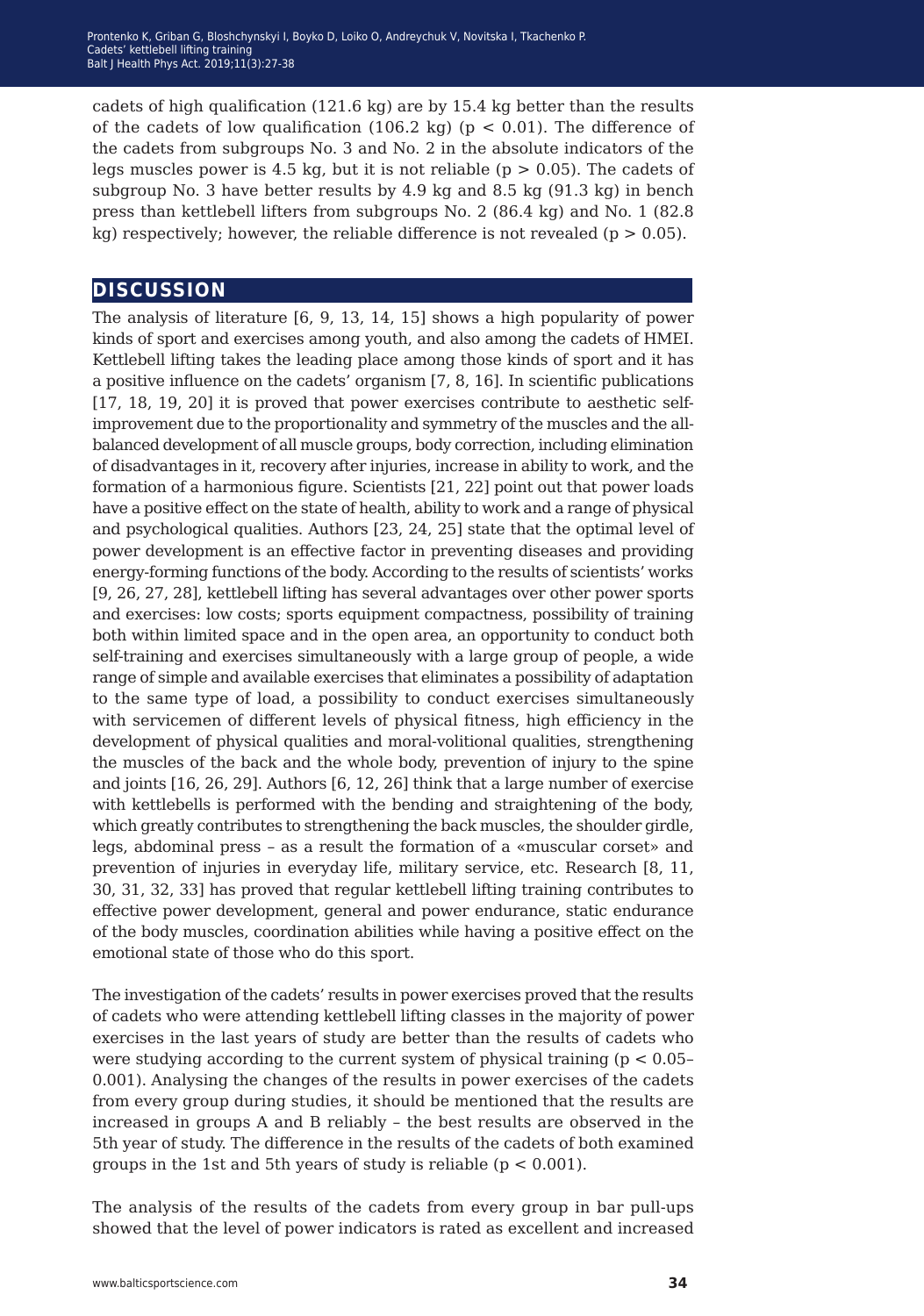cadets of high qualification (121.6 kg) are by 15.4 kg better than the results of the cadets of low qualification (106.2 kg) ( $p < 0.01$ ). The difference of the cadets from subgroups No. 3 and No. 2 in the absolute indicators of the legs muscles power is 4.5 kg, but it is not reliable ( $p > 0.05$ ). The cadets of subgroup No. 3 have better results by 4.9 kg and 8.5 kg (91.3 kg) in bench press than kettlebell lifters from subgroups No. 2 (86.4 kg) and No. 1 (82.8 kg) respectively; however, the reliable difference is not revealed ( $p > 0.05$ ).

#### **discussion**

The analysis of literature [6, 9, 13, 14, 15] shows a high popularity of power kinds of sport and exercises among youth, and also among the cadets of HMEI. Kettlebell lifting takes the leading place among those kinds of sport and it has a positive influence on the cadets' organism [7, 8, 16]. In scientific publications [17, 18, 19, 20] it is proved that power exercises contribute to aesthetic selfimprovement due to the proportionality and symmetry of the muscles and the allbalanced development of all muscle groups, body correction, including elimination of disadvantages in it, recovery after injuries, increase in ability to work, and the formation of a harmonious figure. Scientists [21, 22] point out that power loads have a positive effect on the state of health, ability to work and a range of physical and psychological qualities. Authors [23, 24, 25] state that the optimal level of power development is an effective factor in preventing diseases and providing energy-forming functions of the body. According to the results of scientists' works [9, 26, 27, 28], kettlebell lifting has several advantages over other power sports and exercises: low costs; sports equipment compactness, possibility of training both within limited space and in the open area, an opportunity to conduct both self-training and exercises simultaneously with a large group of people, a wide range of simple and available exercises that eliminates a possibility of adaptation to the same type of load, a possibility to conduct exercises simultaneously with servicemen of different levels of physical fitness, high efficiency in the development of physical qualities and moral-volitional qualities, strengthening the muscles of the back and the whole body, prevention of injury to the spine and joints [16, 26, 29]. Authors [6, 12, 26] think that a large number of exercise with kettlebells is performed with the bending and straightening of the body, which greatly contributes to strengthening the back muscles, the shoulder girdle, legs, abdominal press – as a result the formation of a «muscular corset» and prevention of injuries in everyday life, military service, etc. Research [8, 11, 30, 31, 32, 33] has proved that regular kettlebell lifting training contributes to effective power development, general and power endurance, static endurance of the body muscles, coordination abilities while having a positive effect on the emotional state of those who do this sport.

The investigation of the cadets' results in power exercises proved that the results of cadets who were attending kettlebell lifting classes in the majority of power exercises in the last years of study are better than the results of cadets who were studying according to the current system of physical training ( $p < 0.05$ – 0.001). Analysing the changes of the results in power exercises of the cadets from every group during studies, it should be mentioned that the results are increased in groups A and B reliably – the best results are observed in the 5th year of study. The difference in the results of the cadets of both examined groups in the 1st and 5th years of study is reliable ( $p < 0.001$ ).

The analysis of the results of the cadets from every group in bar pull-ups showed that the level of power indicators is rated as excellent and increased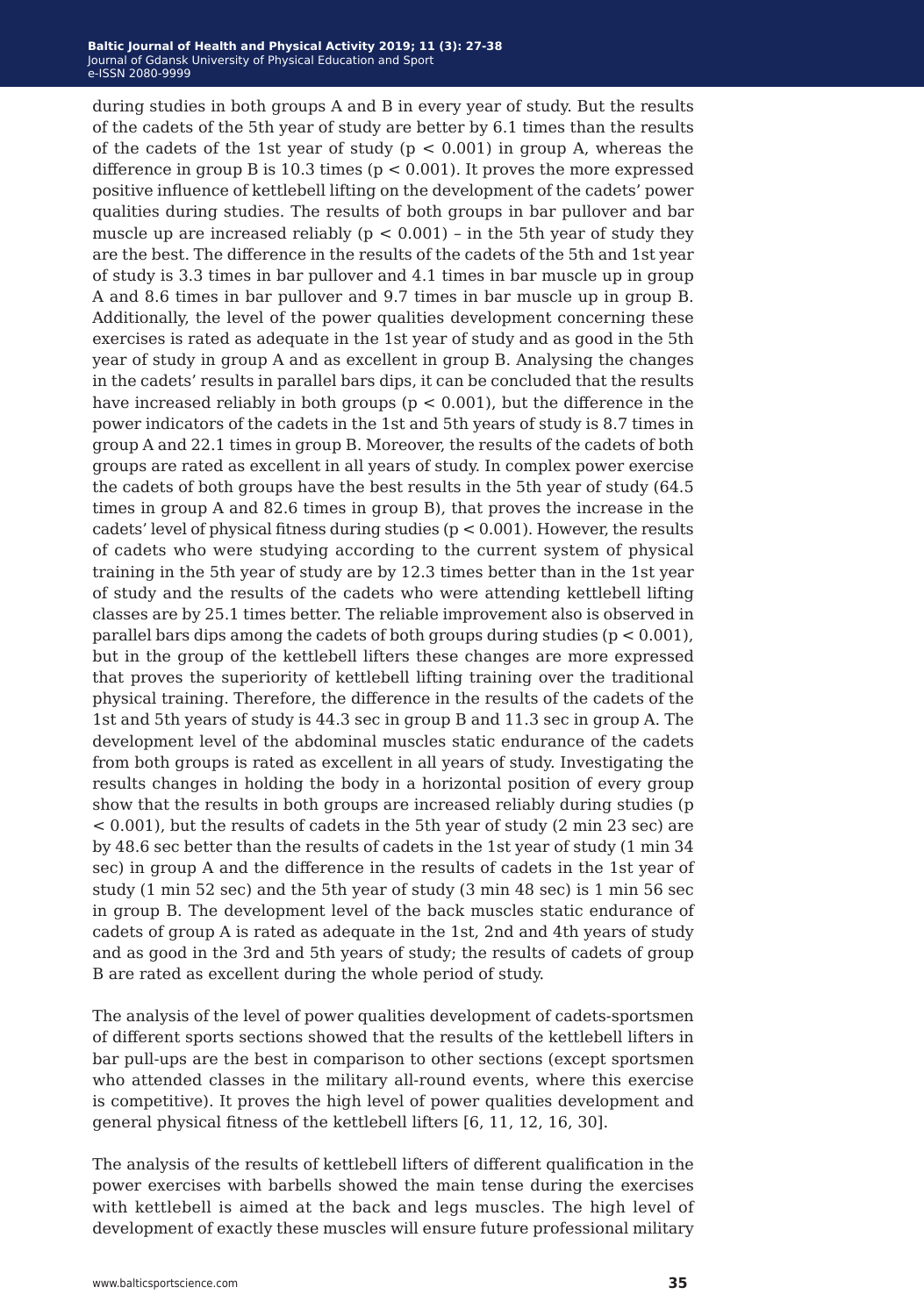during studies in both groups A and B in every year of study. But the results of the cadets of the 5th year of study are better by 6.1 times than the results of the cadets of the 1st year of study  $(p < 0.001)$  in group A, whereas the difference in group B is 10.3 times ( $p < 0.001$ ). It proves the more expressed positive influence of kettlebell lifting on the development of the cadets' power qualities during studies. The results of both groups in bar pullover and bar muscle up are increased reliably ( $p < 0.001$ ) – in the 5th year of study they are the best. The difference in the results of the cadets of the 5th and 1st year of study is 3.3 times in bar pullover and 4.1 times in bar muscle up in group A and 8.6 times in bar pullover and 9.7 times in bar muscle up in group B. Additionally, the level of the power qualities development concerning these exercises is rated as adequate in the 1st year of study and as good in the 5th year of study in group A and as excellent in group B. Analysing the changes in the cadets' results in parallel bars dips, it can be concluded that the results have increased reliably in both groups ( $p < 0.001$ ), but the difference in the power indicators of the cadets in the 1st and 5th years of study is 8.7 times in group A and 22.1 times in group B. Moreover, the results of the cadets of both groups are rated as excellent in all years of study. In complex power exercise the cadets of both groups have the best results in the 5th year of study (64.5 times in group A and 82.6 times in group B), that proves the increase in the cadets' level of physical fitness during studies ( $p < 0.001$ ). However, the results of cadets who were studying according to the current system of physical training in the 5th year of study are by 12.3 times better than in the 1st year of study and the results of the cadets who were attending kettlebell lifting classes are by 25.1 times better. The reliable improvement also is observed in parallel bars dips among the cadets of both groups during studies ( $p < 0.001$ ), but in the group of the kettlebell lifters these changes are more expressed that proves the superiority of kettlebell lifting training over the traditional physical training. Therefore, the difference in the results of the cadets of the 1st and 5th years of study is 44.3 sec in group B and 11.3 sec in group A. The development level of the abdominal muscles static endurance of the cadets from both groups is rated as excellent in all years of study. Investigating the results changes in holding the body in a horizontal position of every group show that the results in both groups are increased reliably during studies (p < 0.001), but the results of cadets in the 5th year of study (2 min 23 sec) are by 48.6 sec better than the results of cadets in the 1st year of study (1 min 34 sec) in group A and the difference in the results of cadets in the 1st year of study (1 min 52 sec) and the 5th year of study (3 min 48 sec) is 1 min 56 sec in group B. The development level of the back muscles static endurance of cadets of group A is rated as adequate in the 1st, 2nd and 4th years of study and as good in the 3rd and 5th years of study; the results of cadets of group B are rated as excellent during the whole period of study.

The analysis of the level of power qualities development of cadets-sportsmen of different sports sections showed that the results of the kettlebell lifters in bar pull-ups are the best in comparison to other sections (except sportsmen who attended classes in the military all-round events, where this exercise is competitive). It proves the high level of power qualities development and general physical fitness of the kettlebell lifters [6, 11, 12, 16, 30].

The analysis of the results of kettlebell lifters of different qualification in the power exercises with barbells showed the main tense during the exercises with kettlebell is aimed at the back and legs muscles. The high level of development of exactly these muscles will ensure future professional military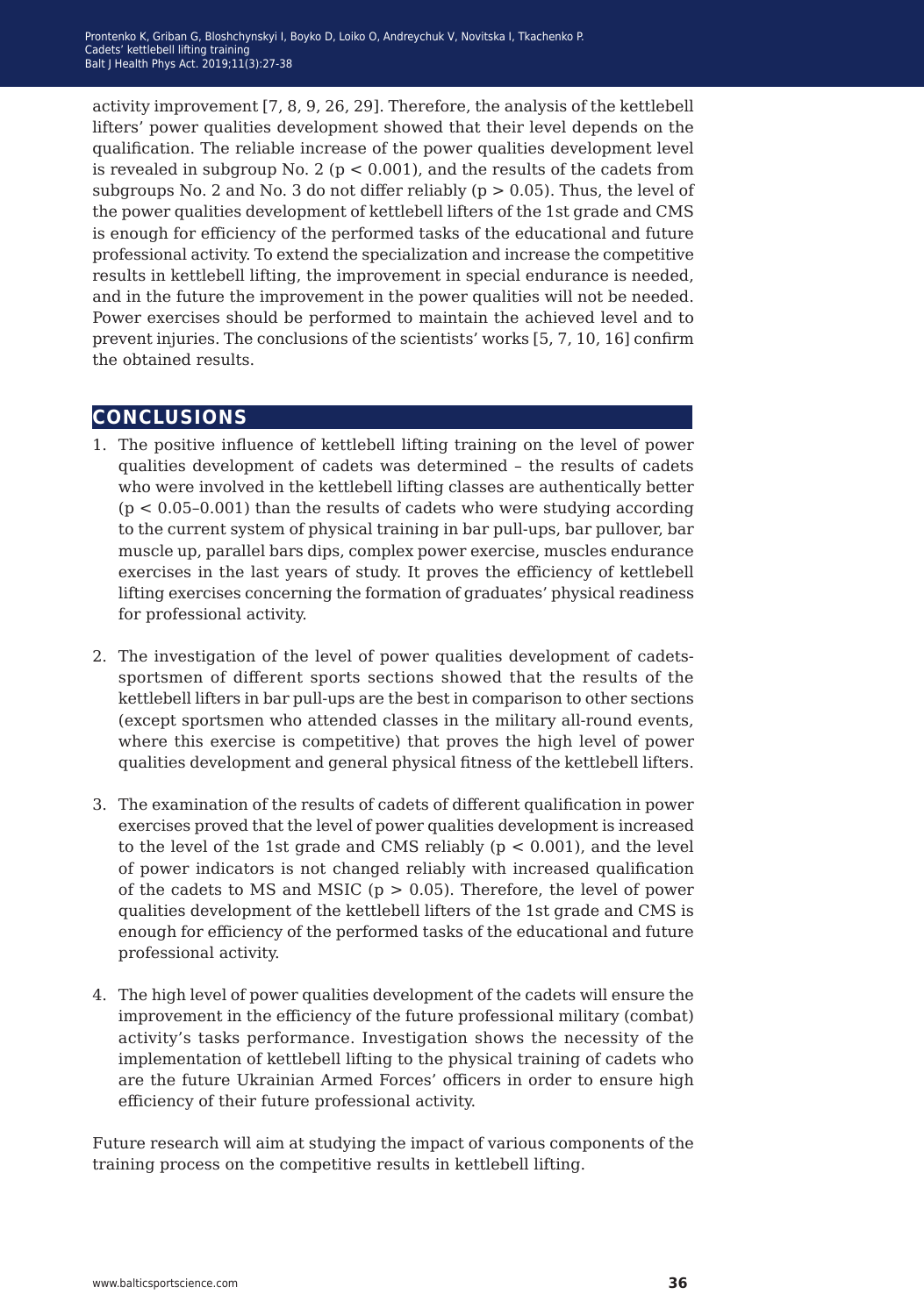activity improvement [7, 8, 9, 26, 29]. Therefore, the analysis of the kettlebell lifters' power qualities development showed that their level depends on the qualification. The reliable increase of the power qualities development level is revealed in subgroup No. 2 ( $p < 0.001$ ), and the results of the cadets from subgroups No. 2 and No. 3 do not differ reliably ( $p > 0.05$ ). Thus, the level of the power qualities development of kettlebell lifters of the 1st grade and CMS is enough for efficiency of the performed tasks of the educational and future professional activity. To extend the specialization and increase the competitive results in kettlebell lifting, the improvement in special endurance is needed, and in the future the improvement in the power qualities will not be needed. Power exercises should be performed to maintain the achieved level and to prevent injuries. The conclusions of the scientists' works [5, 7, 10, 16] confirm the obtained results.

# **conclusions**

- 1. The positive influence of kettlebell lifting training on the level of power qualities development of cadets was determined – the results of cadets who were involved in the kettlebell lifting classes are authentically better  $(p < 0.05-0.001)$  than the results of cadets who were studying according to the current system of physical training in bar pull-ups, bar pullover, bar muscle up, parallel bars dips, complex power exercise, muscles endurance exercises in the last years of study. It proves the efficiency of kettlebell lifting exercises concerning the formation of graduates' physical readiness for professional activity.
- 2. The investigation of the level of power qualities development of cadetssportsmen of different sports sections showed that the results of the kettlebell lifters in bar pull-ups are the best in comparison to other sections (except sportsmen who attended classes in the military all-round events, where this exercise is competitive) that proves the high level of power qualities development and general physical fitness of the kettlebell lifters.
- 3. The examination of the results of cadets of different qualification in power exercises proved that the level of power qualities development is increased to the level of the 1st grade and CMS reliably  $(p < 0.001)$ , and the level of power indicators is not changed reliably with increased qualification of the cadets to MS and MSIC ( $p > 0.05$ ). Therefore, the level of power qualities development of the kettlebell lifters of the 1st grade and CMS is enough for efficiency of the performed tasks of the educational and future professional activity.
- 4. The high level of power qualities development of the cadets will ensure the improvement in the efficiency of the future professional military (combat) activity's tasks performance. Investigation shows the necessity of the implementation of kettlebell lifting to the physical training of cadets who are the future Ukrainian Armed Forces' officers in order to ensure high efficiency of their future professional activity.

Future research will aim at studying the impact of various components of the training process on the competitive results in kettlebell lifting.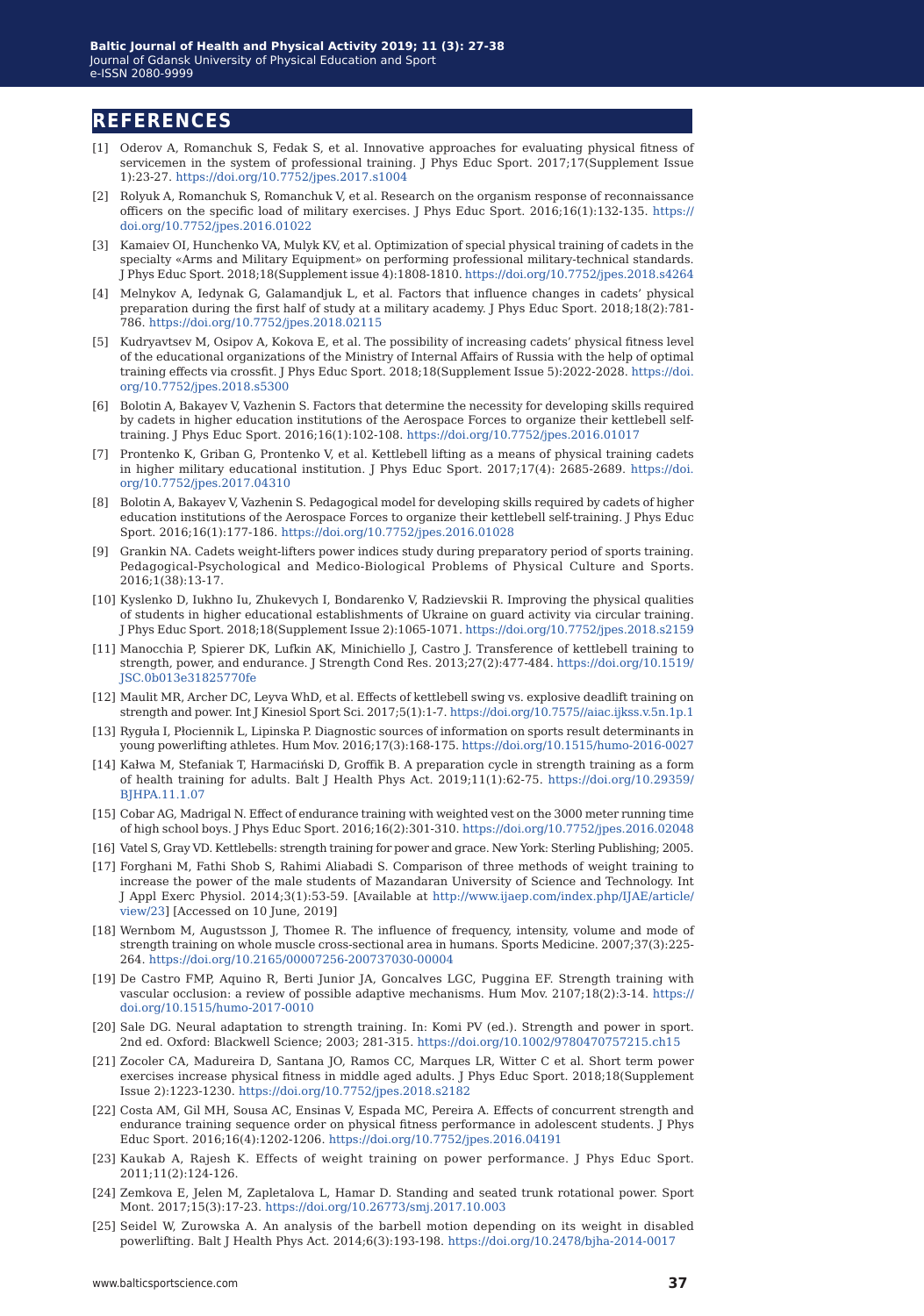#### **references**

- [1] Oderov A, Romanchuk S, Fedak S, et al. Innovative approaches for evaluating physical fitness of servicemen in the system of professional training. J Phys Educ Sport. 2017;17(Supplement Issue 1):23-27. <https://doi.org/10.7752/jpes.2017.s1004>
- [2] Rolyuk A, Romanchuk S, Romanchuk V, et аl. Research on the organism response of reconnaissance officers on the specific load of military exercises. J Phys Educ Sport. 2016;16(1):132-135. [https://](https://doi.org/10.7752/jpes.2016.01022) [doi.org/10.7752/jpes.2016.01022](https://doi.org/10.7752/jpes.2016.01022)
- [3] Kamaiev OI, Hunchenko VA, Mulyk KV, et al. Optimization of special physical training of cadets in the specialty «Arms and Military Equipment» on performing professional military-technical standards. J Phys Educ Sport. 2018;18(Supplement issue 4):1808-1810.<https://doi.org/10.7752/jpes.2018.s4264>
- [4] Melnykov A, Iedynak G, Galamandjuk L, et al. Factors that influence changes in cadets' physical preparation during the first half of study at a military academy. J Phys Educ Sport. 2018;18(2):781- 786. <https://doi.org/10.7752/jpes.2018.02115>
- [5] Kudryavtsev M, Osipov A, Kokova E, et al. The possibility of increasing cadets' physical fitness level of the educational organizations of the Ministry of Internal Affairs of Russia with the help of optimal training effects via crossfit. J Phys Educ Sport. 2018;18(Supplement Issue 5):2022-2028. [https://doi.](https://doi.org/10.7752/jpes.2018.s5300) [org/10.7752/jpes.2018.s5300](https://doi.org/10.7752/jpes.2018.s5300)
- [6] Bolotin A, Bakayev V, Vazhenin S. Factors that determine the necessity for developing skills required by cadets in higher education institutions of the Aerospace Forces to organize their kettlebell selftraining. J Phys Educ Sport. 2016;16(1):102-108. <https://doi.org/10.7752/jpes.2016.01017>
- [7] Prontenko K, Griban G, Prontenko V, et al. Kettlebell lifting as a means of physical training cadets in higher military educational institution. J Phys Educ Sport. 2017;17(4): 2685-2689. [https://doi.](https://doi.org/10.7752/jpes.2017.04310) [org/10.7752/jpes.2017.04310](https://doi.org/10.7752/jpes.2017.04310)
- [8] Bolotin A, Bakayev V, Vazhenin S. Pedagogical model for developing skills required by cadets of higher education institutions of the Aerospace Forces to organize their kettlebell self-training. J Phys Educ Sport. 2016;16(1):177-186. <https://doi.org/10.7752/jpes.2016.01028>
- [9] Grankin NA. Cadets weight-lifters power indices study during preparatory period of sports training. Pedagogical-Psychological and Medico-Biological Problems of Physical Culture and Sports. 2016;1(38):13-17.
- [10] Kуslenko D, Iukhno Iu, Zhukevych I, Bondarenko V, Radzievskii R. Improving the physical qualities of students in higher educational establishments of Ukraine on guard activity via circular training. J Phys Educ Sport. 2018;18(Supplement Issue 2):1065-1071.<https://doi.org/10.7752/jpes.2018.s2159>
- [11] Manocchia P, Spierer DK, Lufkin AK, Minichiello J, Castro J. Transference of kettlebell training to strength, power, and endurance. J Strength Cond Res. 2013;27(2):477-484. [https://doi.org/10.1519/](https://doi.org/10.1519/JSC.0b013e31825770fe) [JSC.0b013e31825770fe](https://doi.org/10.1519/JSC.0b013e31825770fe)
- [12] Maulit MR, Archer DC, Leyva WhD, et al. Effects of kettlebell swing vs. explosive deadlift training on strength and power. Int J Kinesiol Sport Sci. 2017;5(1):1-7.<https://doi.org/10.7575//aiac.ijkss.v.5n.1p.1>
- [13] Ryguła I, Płociennik L, Lipinska P. Diagnostic sources of information on sports result determinants in young powerlifting athletes. Hum Mov. 2016;17(3):168-175.<https://doi.org/10.1515/humo-2016-0027>
- [14] Kałwa M, Stefaniak T, Harmaciński D, Groffik B. A preparation cycle in strength training as a form of health training for adults. Balt J Health Phys Act. 2019;11(1):62-75. [https://doi.org/10.29359/](https://doi.org/10.29359/BJHPA.11.1.07) [BJHPA.11.1.07](https://doi.org/10.29359/BJHPA.11.1.07)
- [15] Cobar AG, Madrigal N. Effect of endurance training with weighted vest on the 3000 meter running time of high school boys. J Phys Educ Sport. 2016;16(2):301-310.<https://doi.org/10.7752/jpes.2016.02048>
- [16] Vatel S, Gray VD. Kettlebells: strength training for power and grace. New York: Sterling Publishing; 2005.
- [17] Forghani M, Fathi Shob S, Rahimi Aliabadi S. Comparison of three methods of weight training to increase the power of the male students of Mazandaran University of Science and Technology. Int J Appl Exerc Physiol. 2014;3(1):53-59. [Available at [http://www.ijaep.com/index.php/IJAE/article/](http://www.ijaep.com/index.php/IJAE/article/view/23) [view/23](http://www.ijaep.com/index.php/IJAE/article/view/23)] [Accessed on 10 June, 2019]
- [18] Wernbom M, Augustsson J, Thomee R. The influence of frequency, intensity, volume and mode of strength training on whole muscle cross-sectional area in humans. Sports Medicine. 2007;37(3):225- 264. <https://doi.org/10.2165/00007256-200737030-00004>
- [19] De Castro FMP, Aquino R, Berti Junior JA, Goncalves LGC, Puggina EF. Strength training with vascular occlusion: a review of possible adaptive mechanisms. Hum Mov. 2107;18(2):3-14. [https://](https://doi.org/10.1515/humo-2017-0010) [doi.org/10.1515/humo-2017-0010](https://doi.org/10.1515/humo-2017-0010)
- [20] Sale DG. Neural adaptation to strength training. In: Komi PV (ed.). Strength and power in sport. 2nd ed. Oxford: Blackwell Science; 2003; 281-315.<https://doi.org/10.1002/9780470757215.ch15>
- [21] Zocoler CA, Madureira D, Santana JO, Ramos CC, Marques LR, Witter C et al. Short term power exercises increase physical fitness in middle aged adults. J Phys Educ Sport. 2018;18(Supplement Issue 2):1223-1230. <https://doi.org/10.7752/jpes.2018.s2182>
- [22] Costa AM, Gil MH, Sousa AC, Ensinas V, Espada MC, Pereira A. Effects of concurrent strength and endurance training sequence order on physical fitness performance in adolescent students. J Phys Educ Sport. 2016;16(4):1202-1206. <https://doi.org/10.7752/jpes.2016.04191>
- [23] Kaukab A, Rajesh K. Effects of weight training on power performance. J Phys Educ Sport. 2011;11(2):124-126.
- [24] Zemkova E, Jelen M, Zapletalova L, Hamar D. Standing and seated trunk rotational power. Sport Mont. 2017;15(3):17-23. <https://doi.org/10.26773/smj.2017.10.003>
- [25] Seidel W, Zurowska A. An analysis of the barbell motion depending on its weight in disabled powerlifting. Balt J Health Phys Act. 2014;6(3):193-198. <https://doi.org/10.2478/bjha-2014-0017>